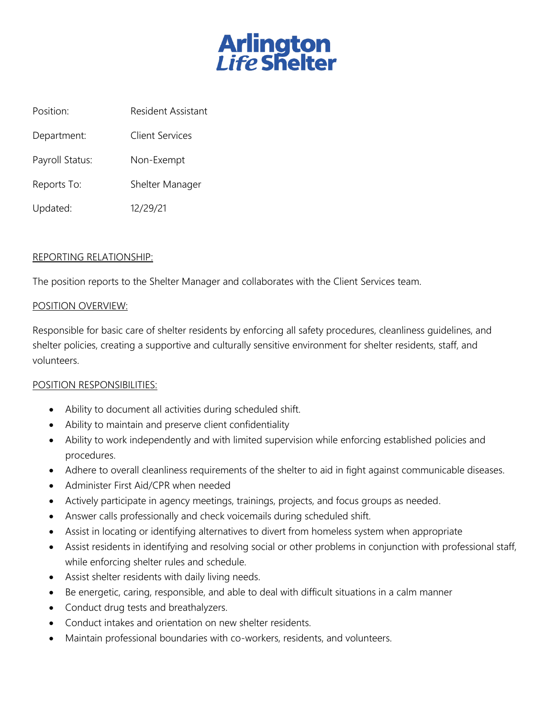

Position: Resident Assistant

Department: Client Services

Payroll Status: Non-Exempt

Reports To: Shelter Manager

Updated: 12/29/21

## REPORTING RELATIONSHIP:

The position reports to the Shelter Manager and collaborates with the Client Services team.

## POSITION OVERVIEW:

Responsible for basic care of shelter residents by enforcing all safety procedures, cleanliness guidelines, and shelter policies, creating a supportive and culturally sensitive environment for shelter residents, staff, and volunteers.

## POSITION RESPONSIBILITIES:

- Ability to document all activities during scheduled shift.
- Ability to maintain and preserve client confidentiality
- Ability to work independently and with limited supervision while enforcing established policies and procedures.
- Adhere to overall cleanliness requirements of the shelter to aid in fight against communicable diseases.
- Administer First Aid/CPR when needed
- Actively participate in agency meetings, trainings, projects, and focus groups as needed.
- Answer calls professionally and check voicemails during scheduled shift.
- Assist in locating or identifying alternatives to divert from homeless system when appropriate
- Assist residents in identifying and resolving social or other problems in conjunction with professional staff, while enforcing shelter rules and schedule.
- Assist shelter residents with daily living needs.
- Be energetic, caring, responsible, and able to deal with difficult situations in a calm manner
- Conduct drug tests and breathalyzers.
- Conduct intakes and orientation on new shelter residents.
- Maintain professional boundaries with co-workers, residents, and volunteers.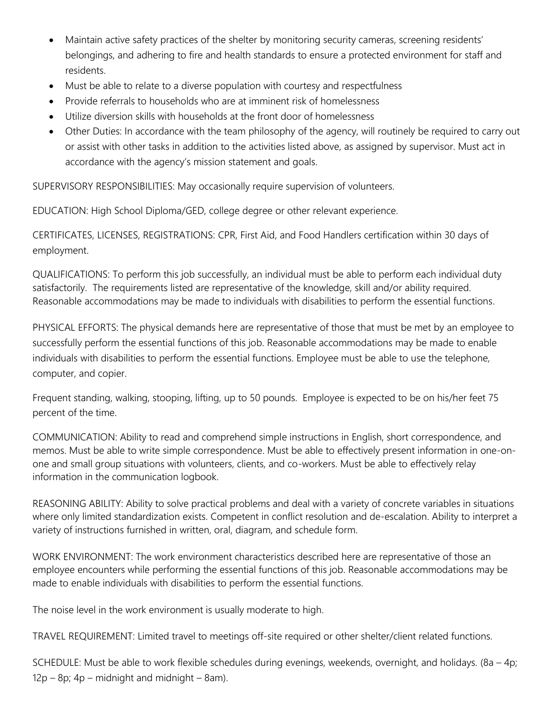- Maintain active safety practices of the shelter by monitoring security cameras, screening residents' belongings, and adhering to fire and health standards to ensure a protected environment for staff and residents.
- Must be able to relate to a diverse population with courtesy and respectfulness
- Provide referrals to households who are at imminent risk of homelessness
- Utilize diversion skills with households at the front door of homelessness
- Other Duties: In accordance with the team philosophy of the agency, will routinely be required to carry out or assist with other tasks in addition to the activities listed above, as assigned by supervisor. Must act in accordance with the agency's mission statement and goals.

SUPERVISORY RESPONSIBILITIES: May occasionally require supervision of volunteers.

EDUCATION: High School Diploma/GED, college degree or other relevant experience.

CERTIFICATES, LICENSES, REGISTRATIONS: CPR, First Aid, and Food Handlers certification within 30 days of employment.

QUALIFICATIONS: To perform this job successfully, an individual must be able to perform each individual duty satisfactorily. The requirements listed are representative of the knowledge, skill and/or ability required. Reasonable accommodations may be made to individuals with disabilities to perform the essential functions.

PHYSICAL EFFORTS: The physical demands here are representative of those that must be met by an employee to successfully perform the essential functions of this job. Reasonable accommodations may be made to enable individuals with disabilities to perform the essential functions. Employee must be able to use the telephone, computer, and copier.

Frequent standing, walking, stooping, lifting, up to 50 pounds. Employee is expected to be on his/her feet 75 percent of the time.

COMMUNICATION: Ability to read and comprehend simple instructions in English, short correspondence, and memos. Must be able to write simple correspondence. Must be able to effectively present information in one-onone and small group situations with volunteers, clients, and co-workers. Must be able to effectively relay information in the communication logbook.

REASONING ABILITY: Ability to solve practical problems and deal with a variety of concrete variables in situations where only limited standardization exists. Competent in conflict resolution and de-escalation. Ability to interpret a variety of instructions furnished in written, oral, diagram, and schedule form.

WORK ENVIRONMENT: The work environment characteristics described here are representative of those an employee encounters while performing the essential functions of this job. Reasonable accommodations may be made to enable individuals with disabilities to perform the essential functions.

The noise level in the work environment is usually moderate to high.

TRAVEL REQUIREMENT: Limited travel to meetings off-site required or other shelter/client related functions.

SCHEDULE: Must be able to work flexible schedules during evenings, weekends, overnight, and holidays. (8a – 4p;  $12p - 8p$ ;  $4p -$  midnight and midnight – 8am).